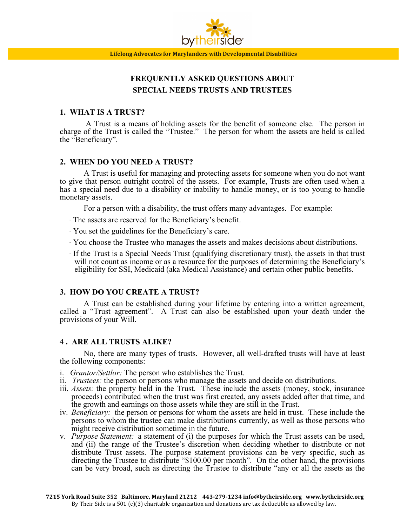

# **FREQUENTLY ASKED QUESTIONS ABOUT SPECIAL NEEDS TRUSTS AND TRUSTEES**

### **1. WHAT IS A TRUST?**

A Trust is a means of holding assets for the benefit of someone else. The person in charge of the Trust is called the "Trustee." The person for whom the assets are held is called the "Beneficiary".

## **2. WHEN DO YOU NEED A TRUST?**

A Trust is useful for managing and protecting assets for someone when you do not want to give that person outright control of the assets. For example, Trusts are often used when a has a special need due to a disability or inability to handle money, or is too young to handle monetary assets.

For a person with a disability, the trust offers many advantages. For example:

- · The assets are reserved for the Beneficiary's benefit.
- · You set the guidelines for the Beneficiary's care.
- · You choose the Trustee who manages the assets and makes decisions about distributions.
- · If the Trust is a Special Needs Trust (qualifying discretionary trust), the assets in that trust will not count as income or as a resource for the purposes of determining the Beneficiary's eligibility for SSI, Medicaid (aka Medical Assistance) and certain other public benefits.

## **3. HOW DO YOU CREATE A TRUST?**

A Trust can be established during your lifetime by entering into a written agreement, called a "Trust agreement". A Trust can also be established upon your death under the provisions of your Will.

## 4 **. ARE ALL TRUSTS ALIKE?**

No, there are many types of trusts. However, all well-drafted trusts will have at least the following components:

- i. *Grantor/Settlor:* The person who establishes the Trust.
- ii. *Trustees:* the person or persons who manage the assets and decide on distributions.
- iii. *Assets:* the property held in the Trust. These include the assets (money, stock, insurance proceeds) contributed when the trust was first created, any assets added after that time, and the growth and earnings on those assets while they are still in the Trust.
- iv. *Beneficiary:* the person or persons for whom the assets are held in trust. These include the persons to whom the trustee can make distributions currently, as well as those persons who might receive distribution sometime in the future.
- v. *Purpose Statement:* a statement of (i) the purposes for which the Trust assets can be used, and (ii) the range of the Trustee's discretion when deciding whether to distribute or not distribute Trust assets. The purpose statement provisions can be very specific, such as directing the Trustee to distribute "\$100.00 per month". On the other hand, the provisions can be very broad, such as directing the Trustee to distribute "any or all the assets as the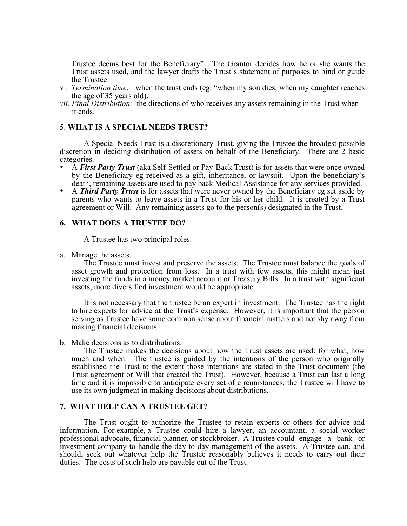Trustee deems best for the Beneficiary". The Grantor decides how he or she wants the Trust assets used, and the lawyer drafts the Trust's statement of purposes to bind or guide the Trustee.

- vi. *Termination time:* when the trust ends (eg. "when my son dies; when my daughter reaches the age of 35 years old).
- *vii. Final Distribution:* the directions of who receives any assets remaining in the Trust when it ends.

## 5. **WHAT IS A SPECIAL NEEDS TRUST?**

A Special Needs Trust is a discretionary Trust, giving the Trustee the broadest possible discretion in deciding distribution of assets on behalf of the Beneficiary. There are 2 basic categories.

- A *First Party Trust* (aka Self-Settled or Pay-Back Trust) is for assets that were once owned by the Beneficiary eg received as a gift, inheritance, or lawsuit. Upon the beneficiary's death, remaining assets are used to pay back Medical Assistance for any services provided.
- A *Third Party Trust* is for assets that were never owned by the Beneficiary eg set aside by parents who wants to leave assets in a Trust for his or her child. It is created by a Trust agreement or Will. Any remaining assets go to the person(s) designated in the Trust.

#### **6. WHAT DOES A TRUSTEE DO?**

A Trustee has two principal roles:

a. Manage the assets.

The Trustee must invest and preserve the assets. The Trustee must balance the goals of asset growth and protection from loss. In a trust with few assets, this might mean just investing the funds in a money market account or Treasury Bills. In a trust with significant assets, more diversified investment would be appropriate.

It is not necessary that the trustee be an expert in investment. The Trustee has the right to hire experts for advice at the Trust's expense. However, it is important that the person serving as Trustee have some common sense about financial matters and not shy away from making financial decisions.

b. Make decisions as to distributions.

The Trustee makes the decisions about how the Trust assets are used: for what, how much and when. The trustee is guided by the intentions of the person who originally established the Trust to the extent those intentions are stated in the Trust document (the Trust agreement or Will that created the Trust). However, because a Trust can last a long time and it is impossible to anticipate every set of circumstances, the Trustee will have to use its own judgment in making decisions about distributions.

# **7. WHAT HELP CAN A TRUSTEE GET?**

The Trust ought to authorize the Trustee to retain experts or others for advice and information. For example, a Trustee could hire a lawyer, an accountant, a social worker professional advocate, financial planner, or stockbroker. A Trustee could engage a bank or investment company to handle the day to day management of the assets. A Trustee can, and should, seek out whatever help the Trustee reasonably believes it needs to carry out their duties. The costs of such help are payable out of the Trust.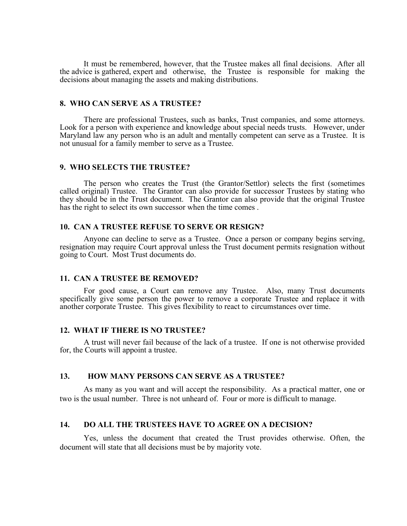It must be remembered, however, that the Trustee makes all final decisions. After all the advice is gathered, expert and otherwise, the Trustee is responsible for making the decisions about managing the assets and making distributions.

# **8. WHO CAN SERVE AS A TRUSTEE?**

There are professional Trustees, such as banks, Trust companies, and some attorneys. Look for a person with experience and knowledge about special needs trusts. However, under Maryland law any person who is an adult and mentally competent can serve as a Trustee. It is not unusual for a family member to serve as a Trustee.

#### **9. WHO SELECTS THE TRUSTEE?**

The person who creates the Trust (the Grantor/Settlor) selects the first (sometimes called original) Trustee. The Grantor can also provide for successor Trustees by stating who they should be in the Trust document. The Grantor can also provide that the original Trustee has the right to select its own successor when the time comes .

## **10. CAN A TRUSTEE REFUSE TO SERVE OR RESIGN?**

Anyone can decline to serve as a Trustee. Once a person or company begins serving, resignation may require Court approval unless the Trust document permits resignation without going to Court. Most Trust documents do.

# **11. CAN A TRUSTEE BE REMOVED?**

For good cause, a Court can remove any Trustee. Also, many Trust documents specifically give some person the power to remove a corporate Trustee and replace it with another corporate Trustee. This gives flexibility to react to circumstances over time.

#### **12. WHAT IF THERE IS NO TRUSTEE?**

A trust will never fail because of the lack of a trustee. If one is not otherwise provided for, the Courts will appoint a trustee.

## **13. HOW MANY PERSONS CAN SERVE AS A TRUSTEE?**

As many as you want and will accept the responsibility. As a practical matter, one or two is the usual number. Three is not unheard of. Four or more is difficult to manage.

# **14. DO ALL THE TRUSTEES HAVE TO AGREE ON A DECISION?**

Yes, unless the document that created the Trust provides otherwise. Often, the document will state that all decisions must be by majority vote.